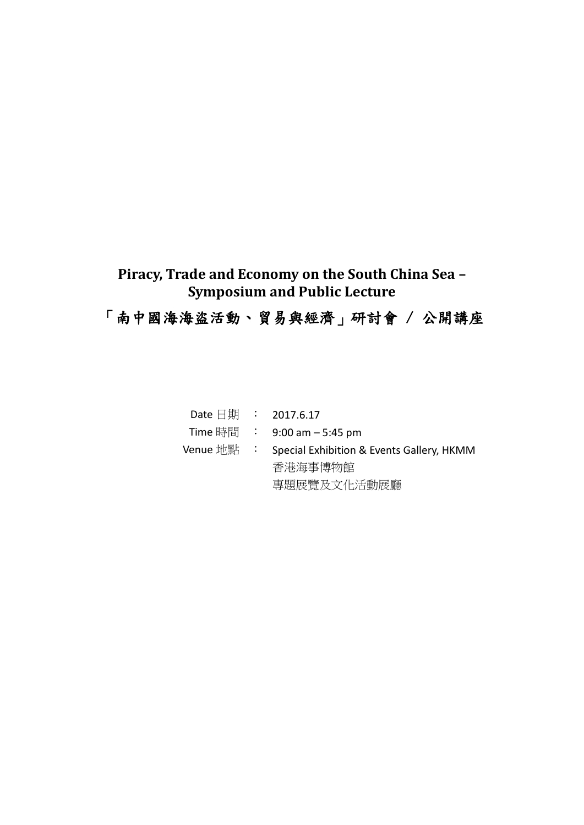## **Piracy, Trade and Economy on the South China Sea – Symposium and Public Lecture**

## 「南中國海海盜活動、貿易與經濟」研討會 / 公開講座

| Date 日期 : 2017.6.17 |                                           |
|---------------------|-------------------------------------------|
|                     | Time 時間 : 9:00 am $-$ 5:45 pm             |
| Venue 地點 :          | Special Exhibition & Events Gallery, HKMM |
|                     | 香港海事博物館                                   |
|                     | 專題展覽及文化活動展廳                               |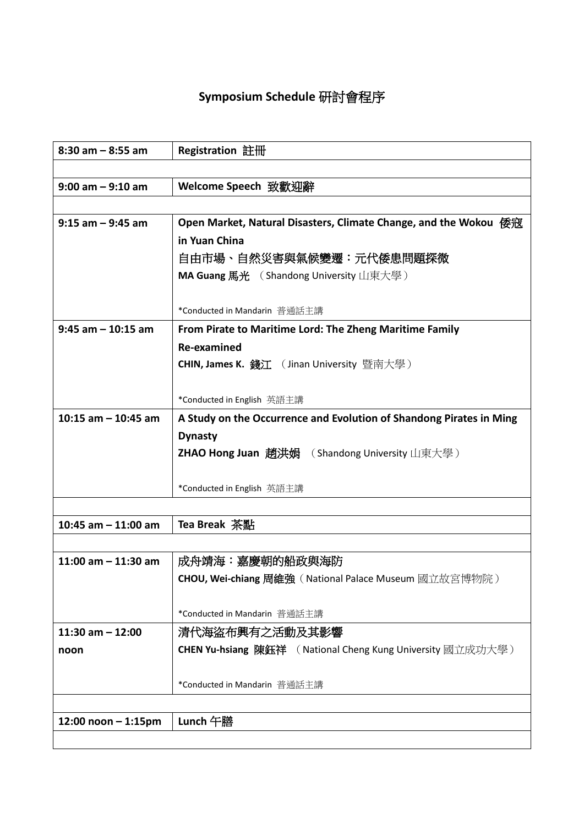## **Symposium Schedule** 研討會程序

| $8:30$ am $-8:55$ am    | Registration 註冊                                                     |
|-------------------------|---------------------------------------------------------------------|
|                         |                                                                     |
| $9:00$ am $-9:10$ am    | Welcome Speech 致歡迎辭                                                 |
|                         |                                                                     |
| $9:15$ am $-9:45$ am    | Open Market, Natural Disasters, Climate Change, and the Wokou 倭寇    |
|                         | in Yuan China                                                       |
|                         | 自由市場、自然災害與氣候變遷:元代倭患問題探微                                             |
|                         | MA Guang 馬光 (Shandong University 山東大學)                              |
|                         |                                                                     |
|                         | *Conducted in Mandarin 普通話主講                                        |
| $9:45$ am $-10:15$ am   | From Pirate to Maritime Lord: The Zheng Maritime Family             |
|                         | Re-examined                                                         |
|                         | <b>CHIN, James K. 錢江</b> ( Jinan University 暨南大學 )                  |
|                         |                                                                     |
|                         | *Conducted in English 英語主講                                          |
| 10:15 am $-$ 10:45 am   | A Study on the Occurrence and Evolution of Shandong Pirates in Ming |
|                         | <b>Dynasty</b>                                                      |
|                         | <b>ZHAO Hong Juan 趙洪娟</b> (Shandong University 山東大學)                |
|                         |                                                                     |
|                         | *Conducted in English 英語主講                                          |
|                         |                                                                     |
| 10:45 am $-$ 11:00 am   | Tea Break 茶點                                                        |
|                         |                                                                     |
| 11:00 am $-$ 11:30 am   | 成舟靖海:嘉慶朝的船政與海防                                                      |
|                         | CHOU, Wei-chiang 周維強 (National Palace Museum 國立故宮博物院)               |
|                         |                                                                     |
|                         | *Conducted in Mandarin 普通話主講                                        |
| $11:30$ am $-12:00$     | 清代海盜布興有之活動及其影響                                                      |
| noon                    | <b>CHEN Yu-hsiang 陳鈺祥</b> ( National Cheng Kung University 國立成功大學 ) |
|                         |                                                                     |
|                         | *Conducted in Mandarin 普通話主講                                        |
|                         |                                                                     |
| $12:00$ noon $-1:15$ pm | Lunch 午膳                                                            |
|                         |                                                                     |